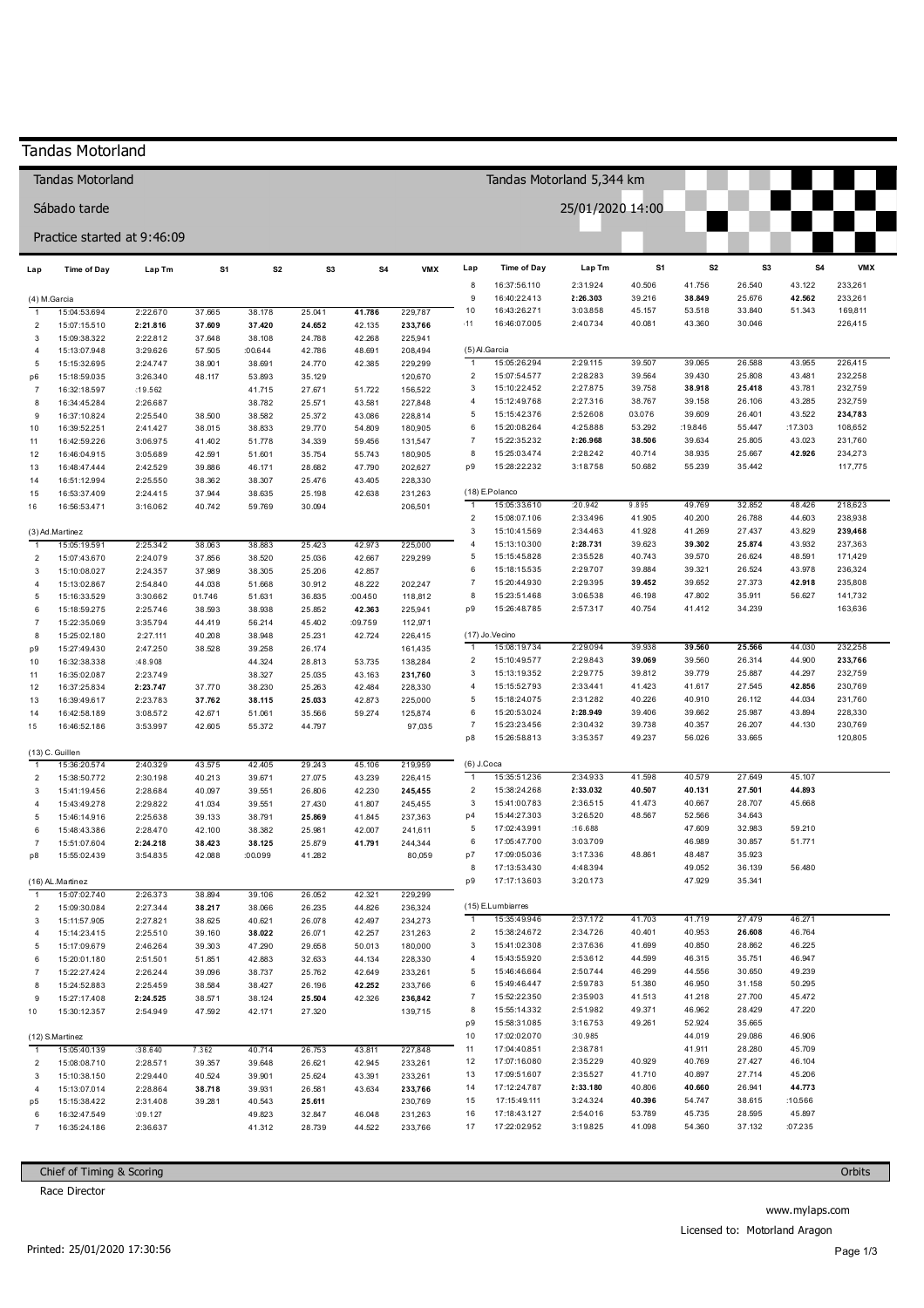|                                               | <b>Tandas Motorland</b>      |                      |                  |                  |                  |                   |                    |                                |                               |                      |                  |                   |                  |                   |                    |
|-----------------------------------------------|------------------------------|----------------------|------------------|------------------|------------------|-------------------|--------------------|--------------------------------|-------------------------------|----------------------|------------------|-------------------|------------------|-------------------|--------------------|
| Tandas Motorland 5,344 km<br>Tandas Motorland |                              |                      |                  |                  |                  |                   |                    |                                |                               |                      |                  |                   |                  |                   |                    |
| Sábado tarde                                  |                              |                      |                  |                  |                  |                   |                    |                                |                               | 25/01/2020 14:00     |                  |                   |                  |                   |                    |
|                                               | Practice started at 9:46:09  |                      |                  |                  |                  |                   |                    |                                |                               |                      |                  |                   |                  |                   |                    |
| Lap                                           | <b>Time of Day</b>           | Lap Tm               | S1               | S <sub>2</sub>   | S3               | S4                | <b>VMX</b>         | Lap                            | Time of Day                   | Lap Tm               | S1               | S <sub>2</sub>    | S <sub>3</sub>   | S4                | <b>VMX</b>         |
|                                               |                              |                      |                  |                  |                  |                   |                    | 8<br>9                         | 16:37:56.110<br>16:40:22.413  | 2:31.924             | 40.506<br>39.216 | 41.756<br>38.849  | 26.540<br>25.676 | 43.122<br>42.562  | 233,261            |
| (4) M.Garcia<br>$\overline{1}$                | 15:04:53.694                 | 2:22.670             | 37.665           | 38.178           | 25.041           | 41.786            | 229,787            | 10                             | 16:43:26.271                  | 2:26.303<br>3:03.858 | 45.157           | 53.518            | 33.840           | 51.343            | 233,261<br>169,811 |
| $\overline{c}$                                | 15:07:15.510                 | 2:21.816             | 37.609           | 37.420           | 24.652           | 42.135            | 233,766            | 11                             | 16:46:07.005                  | 2:40.734             | 40.081           | 43.360            | 30.046           |                   | 226,415            |
| 3                                             | 15:09:38.322                 | 2:22.812             | 37.648           | 38.108           | 24.788           | 42.268            | 225,941            |                                |                               |                      |                  |                   |                  |                   |                    |
| 4                                             | 15:13:07.948                 | 3:29.626             | 57.505           | :00.644          | 42.786           | 48.691            | 208,494            | $\overline{1}$                 | (5) Al.Garcia<br>15:05:26.294 | 2:29.115             | 39.507           | 39.065            | 26.588           | 43.955            | 226,415            |
| 5<br>p6                                       | 15:15:32.695<br>15:18:59.035 | 2:24.747<br>3:26.340 | 38.901<br>48.117 | 38.691<br>53.893 | 24.770<br>35.129 | 42.385            | 229,299<br>120,670 | $\overline{2}$                 | 15:07:54.577                  | 2:28.283             | 39.564           | 39.430            | 25.808           | 43.481            | 232,258            |
| $\overline{7}$                                | 16:32:18.597                 | :19.562              |                  | 41.715           | 27.671           | 51.722            | 156,522            | $\mathsf 3$                    | 15:10:22.452                  | 2:27.875             | 39.758           | 38.918            | 25.418           | 43.781            | 232,759            |
| 8                                             | 16:34:45.284                 | 2:26.687             |                  | 38.782           | 25.571           | 43.581            | 227,848            | $\overline{4}$                 | 15:12:49.768                  | 2:27.316             | 38.767           | 39.158            | 26.106           | 43.285            | 232,759            |
| 9                                             | 16:37:10.824                 | 2:25.540             | 38.500           | 38.582           | 25.372           | 43.086            | 228,814            | 5                              | 15:15:42.376                  | 2:52.608             | 03.076           | 39.609            | 26.401           | 43.522            | 234,783            |
| 10                                            | 16:39:52.251                 | 2:41.427             | 38.015           | 38.833           | 29.770           | 54.809            | 180,905            | 6<br>$\overline{7}$            | 15:20:08.264<br>15:22:35.232  | 4:25.888<br>2:26.968 | 53.292<br>38.506 | :19.846<br>39.634 | 55.447<br>25.805 | :17.303<br>43.023 | 108,652<br>231,760 |
| 11<br>12                                      | 16:42:59.226<br>16:46:04.915 | 3:06.975<br>3:05.689 | 41.402<br>42.591 | 51.778<br>51.601 | 34.339<br>35.754 | 59.456<br>55.743  | 131,547<br>180,905 | 8                              | 15:25:03.474                  | 2:28.242             | 40.714           | 38.935            | 25.667           | 42.926            | 234,273            |
| 13                                            | 16:48:47.444                 | 2:42.529             | 39.886           | 46.171           | 28.682           | 47.790            | 202,627            | p9                             | 15:28:22.232                  | 3:18.758             | 50.682           | 55.239            | 35.442           |                   | 117,775            |
| 14                                            | 16:51:12.994                 | 2:25.550             | 38.362           | 38.307           | 25.476           | 43.405            | 228,330            |                                |                               |                      |                  |                   |                  |                   |                    |
| 15                                            | 16:53:37.409                 | 2:24.415             | 37.944           | 38.635           | 25.198           | 42.638            | 231,263            |                                | (18) E.Polanco                |                      |                  |                   |                  |                   |                    |
| 16                                            | 16:56:53.471                 | 3:16.062             | 40.742           | 59.769           | 30.094           |                   | 206,501            | $\overline{1}$                 | 15:05:33.610                  | :20.942              | 9.895            | 49.769            | 32.852           | 48.426            | 218,623            |
|                                               | (3) Ad.Martinez              |                      |                  |                  |                  |                   |                    | $\overline{2}$<br>3            | 15:08:07.106<br>15:10:41.569  | 2:33.496<br>2:34.463 | 41.905<br>41.928 | 40.200<br>41.269  | 26.788<br>27.437 | 44.603<br>43.829  | 238,938<br>239,468 |
| -1                                            | 15:05:19.591                 | 2:25.342             | 38.063           | 38.883           | 25.423           | 42.973            | 225,000            | $\overline{4}$                 | 15:13:10.300                  | 2:28.731             | 39.623           | 39.302            | 25.874           | 43.932            | 237,363            |
| $\overline{c}$                                | 15:07:43.670                 | 2:24.079             | 37.856           | 38.520           | 25.036           | 42.667            | 229,299            | 5                              | 15:15:45.828                  | 2:35.528             | 40.743           | 39.570            | 26.624           | 48.591            | 171,429            |
| 3                                             | 15:10:08.027                 | 2:24.357             | 37.989           | 38.305           | 25.206           | 42.857            |                    | 6                              | 15:18:15.535                  | 2:29.707             | 39.884           | 39.321            | 26.524           | 43.978            | 236,324            |
| 4                                             | 15:13:02.867                 | 2:54.840             | 44.038           | 51.668           | 30.912           | 48.222            | 202,247            | $\overline{7}$                 | 15:20:44.930                  | 2:29.395             | 39.452           | 39.652            | 27.373           | 42.918            | 235,808            |
| $\sqrt{5}$                                    | 15:16:33.529                 | 3:30.662             | 01.746           | 51.631           | 36.835           | :00.450           | 118,812            | 8<br>p9                        | 15:23:51.468<br>15:26:48.785  | 3:06.538<br>2:57.317 | 46.198<br>40.754 | 47.802<br>41.412  | 35.911<br>34.239 | 56.627            | 141,732<br>163,636 |
| 6<br>$\overline{7}$                           | 15:18:59.275<br>15:22:35.069 | 2:25.746<br>3:35.794 | 38.593<br>44.419 | 38.938<br>56.214 | 25.852<br>45.402 | 42.363<br>:09.759 | 225,941<br>112,971 |                                |                               |                      |                  |                   |                  |                   |                    |
| 8                                             | 15:25:02.180                 | 2:27.111             | 40.208           | 38.948           | 25.231           | 42.724            | 226,415            |                                | (17) Jo.Vecino                |                      |                  |                   |                  |                   |                    |
| p9                                            | 15:27:49.430                 | 2:47.250             | 38.528           | 39.258           | 26.174           |                   | 161,435            | $\overline{1}$                 | 15:08:19.734                  | 2:29.094             | 39.938           | 39.560            | 25.566           | 44.030            | 232,258            |
| 10                                            | 16:32:38.338                 | :48.908              |                  | 44.324           | 28.813           | 53.735            | 138,284            | $\overline{2}$                 | 15:10:49.577                  | 2:29.843             | 39.069           | 39.560            | 26.314           | 44.900            | 233,766            |
| 11                                            | 16:35:02.087                 | 2:23.749             |                  | 38.327           | 25.035           | 43.163            | 231,760            | 3                              | 15:13:19.352                  | 2:29.775             | 39.812           | 39.779            | 25.887           | 44.297            | 232,759            |
| 12                                            | 16:37:25.834                 | 2:23.747             | 37.770           | 38.230           | 25.263           | 42.484            | 228,330            | $\overline{4}$<br>5            | 15:15:52.793<br>15:18:24.075  | 2:33.441<br>2:31.282 | 41.423<br>40.226 | 41.617<br>40.910  | 27.545<br>26.112 | 42.856<br>44.034  | 230,769<br>231,760 |
| 13<br>14                                      | 16:39:49.617<br>16:42:58.189 | 2:23.783<br>3:08.572 | 37.762<br>42.671 | 38.115<br>51.061 | 25.033<br>35.566 | 42.873<br>59.274  | 225,000<br>125,874 | 6                              | 15:20:53.024                  | 2:28.949             | 39.406           | 39.662            | 25.987           | 43.894            | 228,330            |
| 15                                            | 16:46:52.186                 | 3:53.997             | 42.605           | 55.372           | 44.797           |                   | 97,035             | $\overline{7}$                 | 15:23:23.456                  | 2:30.432             | 39.738           | 40.357            | 26.207           | 44.130            | 230,769            |
|                                               |                              |                      |                  |                  |                  |                   |                    | p8                             | 15:26:58.813                  | 3:35.357             | 49.237           | 56.026            | 33.665           |                   | 120,805            |
|                                               | (13) C. Guillen              |                      |                  |                  |                  |                   |                    |                                |                               |                      |                  |                   |                  |                   |                    |
| $\mathbf{1}$                                  | 15:36:20.574                 | 2:40.329             | 43.575           | 42.405           | 29.243           | 45.106            | 219,959            | $(6)$ J.Coca<br>$\overline{1}$ | 15:35:51.236                  | 2:34.933             | 41.598           | 40.579            | 27.649           | 45.107            |                    |
| 2<br>3                                        | 15:38:50.772<br>15:41:19.456 | 2:30.198<br>2:28.684 | 40.213<br>40.097 | 39.671<br>39.551 | 27.075<br>26.806 | 43.239<br>42.230  | 226,415<br>245,455 | $\overline{2}$                 | 15:38:24.268                  | 2:33.032             | 40.507           | 40.131            | 27.501           | 44.893            |                    |
| 4                                             | 15:43:49.278                 | 2:29.822             | 41.034           | 39.551           | 27.430           | 41.807            | 245,455            | 3                              | 15:41:00.783                  | 2:36.515             | 41.473           | 40.667            | 28.707           | 45.668            |                    |
| 5                                             | 15:46:14.916                 | 2:25.638             | 39.133           | 38.791           | 25.869           | 41.845            | 237,363            | p4                             | 15:44:27.303                  | 3:26.520             | 48.567           | 52.566            | 34.643           |                   |                    |
| 6                                             | 15:48:43.386                 | 2:28.470             | 42.100           | 38.382           | 25.981           | 42.007            | 241,611            | 5                              | 17:02:43.991                  | :16.688              |                  | 47.609            | 32.983           | 59.210            |                    |
| 7                                             | 15:51:07.604                 | 2:24.218             | 38.423           | 38.125           | 25.879           | 41.791            | 244,344            | 6                              | 17:05:47.700                  | 3:03.709             |                  | 46.989            | 30.857           | 51.771            |                    |
| p8                                            | 15:55:02.439                 | 3:54.835             | 42.088           | :00.099          | 41.282           |                   | 80,059             | p7<br>8                        | 17:09:05.036<br>17:13:53.430  | 3:17.336<br>4:48.394 | 48.861           | 48.487<br>49.052  | 35.923<br>36.139 | 56.480            |                    |
|                                               | (16) AL.Martinez             |                      |                  |                  |                  |                   |                    | p9                             | 17:17:13.603                  | 3:20.173             |                  | 47.929            | 35.341           |                   |                    |
| 1                                             | 15:07:02.740                 | 2:26.373             | 38.894           | 39.106           | 26.052           | 42.321            | 229,299            |                                |                               |                      |                  |                   |                  |                   |                    |
| $\overline{2}$                                | 15:09:30.084                 | 2:27.344             | 38.217           | 38.066           | 26.235           | 44.826            | 236,324            |                                | (15) E.Lumbiarres             |                      |                  |                   |                  |                   |                    |
| 3                                             | 15:11:57.905                 | 2:27.821             | 38.625           | 40.621           | 26.078           | 42.497            | 234,273            | $\overline{1}$                 | 15:35:49.946                  | 2:37.172             | 41.703           | 41.719            | 27.479           | 46.271            |                    |
| 4<br>5                                        | 15:14:23.415<br>15:17:09.679 | 2:25.510<br>2:46.264 | 39.160<br>39.303 | 38.022<br>47.290 | 26.071<br>29.658 | 42.257<br>50.013  | 231,263<br>180,000 | $\overline{2}$<br>3            | 15:38:24.672<br>15:41:02.308  | 2:34.726<br>2:37.636 | 40.401<br>41.699 | 40.953<br>40.850  | 26.608<br>28.862 | 46.764<br>46.225  |                    |
| 6                                             | 15:20:01.180                 | 2:51.501             | 51.851           | 42.883           | 32.633           | 44.134            | 228,330            | $\overline{\mathbf{4}}$        | 15:43:55.920                  | 2:53.612             | 44.599           | 46.315            | 35.751           | 46.947            |                    |
| $\overline{7}$                                | 15:22:27.424                 | 2:26.244             | 39.096           | 38.737           | 25.762           | 42.649            | 233,261            | 5                              | 15:46:46.664                  | 2:50.744             | 46.299           | 44.556            | 30.650           | 49.239            |                    |
| 8                                             | 15:24:52.883                 | 2:25.459             | 38.584           | 38.427           | 26.196           | 42.252            | 233,766            | 6                              | 15:49:46.447                  | 2:59.783             | 51.380           | 46.950            | 31.158           | 50.295            |                    |
| 9                                             | 15:27:17.408                 | 2:24.525             | 38.571           | 38.124           | 25.504           | 42.326            | 236,842            | $\overline{7}$                 | 15:52:22.350                  | 2:35.903             | 41.513           | 41.218            | 27.700           | 45.472            |                    |
| 10                                            | 15:30:12.357                 | 2:54.949             | 47.592           | 42.171           | 27.320           |                   | 139,715            | 8                              | 15:55:14.332<br>15:58:31.085  | 2:51.982             | 49.371<br>49.261 | 46.962<br>52.924  | 28.429<br>35.665 | 47.220            |                    |
|                                               | (12) S.Martinez              |                      |                  |                  |                  |                   |                    | p9<br>10                       | 17:02:02.070                  | 3:16.753<br>:30.985  |                  | 44.019            | 29.086           | 46.906            |                    |
| $\overline{1}$                                | 15:05:40.139                 | :38.640              | 7.362            | 40.714           | 26.753           | 43.811            | 227,848            | 11                             | 17:04:40.851                  | 2:38.781             |                  | 41.911            | 28.280           | 45.709            |                    |
| $\overline{2}$                                | 15:08:08.710                 | 2:28.571             | 39.357           | 39.648           | 26.621           | 42.945            | 233,261            | 12                             | 17:07:16.080                  | 2:35.229             | 40.929           | 40.769            | 27.427           | 46.104            |                    |
| 3                                             | 15:10:38.150                 | 2:29.440             | 40.524           | 39.901           | 25.624           | 43.391            | 233,261            | 13                             | 17:09:51.607                  | 2:35.527             | 41.710           | 40.897            | 27.714           | 45.206            |                    |
| 4                                             | 15:13:07.014                 | 2:28.864             | 38.718           | 39.931           | 26.581           | 43.634            | 233,766            | 14                             | 17:12:24.787                  | 2:33.180             | 40.806           | 40.660            | 26.941           | 44.773            |                    |
| p <sub>5</sub>                                | 15:15:38.422<br>16:32:47.549 | 2:31.408<br>:09.127  | 39.281           | 40.543<br>49.823 | 25.611<br>32.847 |                   | 230,769<br>231,263 | 15<br>16                       | 17:15:49.111<br>17:18:43.127  | 3:24.324<br>2:54.016 | 40.396<br>53.789 | 54.747<br>45.735  | 38.615<br>28.595 | :10.566<br>45.897 |                    |
| 6<br>$\overline{7}$                           | 16:35:24.186                 | 2:36.637             |                  | 41.312           | 28.739           | 46.048<br>44.522  | 233,766            | 17                             | 17:22:02.952                  | 3:19.825             | 41.098           | 54.360            | 37.132           | :07.235           |                    |
|                                               |                              |                      |                  |                  |                  |                   |                    |                                |                               |                      |                  |                   |                  |                   |                    |

Chief of Timing & Scoring

Race Director

Orbits

www.mylaps.com

Licensed to: Motorland Aragon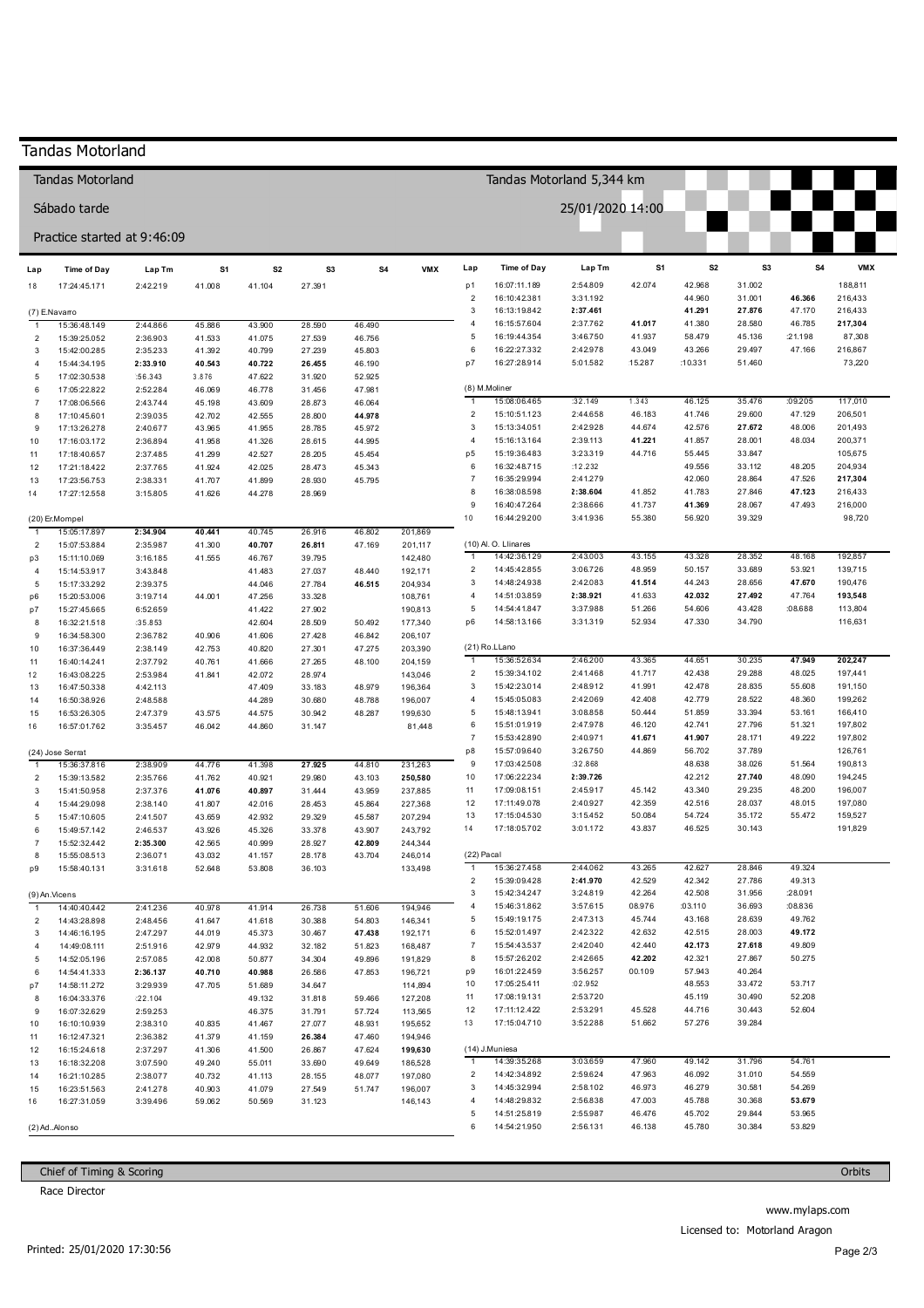|                        | <b>Tandas Motorland</b>      |                      |                  |                  |                  |                           |                    |                                           |                              |                      |                  |                   |                  |                  |                    |
|------------------------|------------------------------|----------------------|------------------|------------------|------------------|---------------------------|--------------------|-------------------------------------------|------------------------------|----------------------|------------------|-------------------|------------------|------------------|--------------------|
|                        | Tandas Motorland             |                      |                  |                  |                  | Tandas Motorland 5,344 km |                    |                                           |                              |                      |                  |                   |                  |                  |                    |
|                        | Sábado tarde                 |                      |                  |                  |                  |                           |                    |                                           |                              | 25/01/2020 14:00     |                  |                   |                  |                  |                    |
|                        | Practice started at 9:46:09  |                      |                  |                  |                  |                           |                    |                                           |                              |                      |                  |                   |                  |                  |                    |
| Lap                    | <b>Time of Day</b>           | Lap Tm               | S1               | S <sub>2</sub>   | S3               | S4                        | <b>VMX</b>         | Lap                                       | <b>Time of Day</b>           | Lap Tm               | S <sub>1</sub>   | S <sub>2</sub>    | S <sub>3</sub>   | S4               | <b>VMX</b>         |
| 18                     | 17:24:45.171                 | 2:42.219             | 41.008           | 41.104           | 27.391           |                           |                    | p1                                        | 16:07:11.189                 | 2:54.809             | 42.074           | 42.968            | 31.002           |                  | 188,811            |
|                        | (7) E.Navarro                |                      |                  |                  |                  |                           |                    | $\overline{2}$<br>3                       | 16:10:42.381<br>16:13:19.842 | 3:31.192<br>2:37.461 |                  | 44.960<br>41.291  | 31.001<br>27.876 | 46.366<br>47.170 | 216,433<br>216,433 |
| $\overline{1}$         | 15:36:48.149                 | 2:44.866             | 45.886           | 43.900           | 28.590           | 46.490                    |                    | 4                                         | 16:15:57.604                 | 2:37.762             | 41.017           | 41.380            | 28.580           | 46.785           | 217,304            |
| $\overline{2}$         | 15:39:25.052                 | 2:36.903             | 41.533           | 41.075           | 27.539           | 46.756                    |                    | 5<br>6                                    | 16:19:44.354                 | 3:46.750             | 41.937           | 58.479            | 45.136           | :21.198          | 87,308             |
| 3<br>4                 | 15:42:00.285<br>15:44:34.195 | 2:35.233<br>2:33.910 | 41.392<br>40.543 | 40.799<br>40.722 | 27.239<br>26.455 | 45.803<br>46.190          |                    | p7                                        | 16:22:27.332<br>16:27:28.914 | 2:42.978<br>5:01.582 | 43.049<br>15.287 | 43.266<br>:10.331 | 29.497<br>51.460 | 47.166           | 216,867<br>73,220  |
| 5                      | 17:02:30.538                 | :56.343              | 3.876            | 47.622           | 31.920           | 52.925                    |                    |                                           |                              |                      |                  |                   |                  |                  |                    |
| 6                      | 17:05:22.822                 | 2:52.284             | 46.069           | 46.778           | 31.456           | 47.981                    |                    |                                           | (8) M.Moliner                |                      |                  |                   |                  |                  |                    |
| $\overline{7}$         | 17:08:06.566                 | 2:43.744             | 45.198           | 43.609           | 28.873           | 46.064                    |                    | $\overline{1}$                            | 15:08:06.465                 | :32.149              | 1.343            | 46.125            | 35.476           | :09.205          | 117,010            |
| 8<br>9                 | 17:10:45.601<br>17:13:26.278 | 2:39.035<br>2:40.677 | 42.702<br>43.965 | 42.555<br>41.955 | 28.800<br>28.785 | 44.978<br>45.972          |                    | $\overline{2}$<br>$\mathbf{3}$            | 15:10:51.123<br>15:13:34.051 | 2:44.658<br>2:42.928 | 46.183<br>44.674 | 41.746<br>42.576  | 29.600<br>27.672 | 47.129<br>48.006 | 206,501<br>201,493 |
| 10                     | 17:16:03.172                 | 2:36.894             | 41.958           | 41.326           | 28.615           | 44.995                    |                    | $\overline{4}$                            | 15:16:13.164                 | 2:39.113             | 41.221           | 41.857            | 28.001           | 48.034           | 200,371            |
| 11                     | 17:18:40.657                 | 2:37.485             | 41.299           | 42.527           | 28.205           | 45.454                    |                    | p <sub>5</sub>                            | 15:19:36.483                 | 3:23.319             | 44.716           | 55.445            | 33.847           |                  | 105,675            |
| 12                     | 17:21:18.422                 | 2:37.765             | 41.924           | 42.025           | 28.473           | 45.343                    |                    | 6                                         | 16:32:48.715                 | :12.232              |                  | 49.556            | 33.112           | 48.205           | 204,934            |
| 13                     | 17:23:56.753                 | 2:38.331             | 41.707           | 41.899           | 28.930           | 45.795                    |                    | $\overline{7}$<br>8                       | 16:35:29.994                 | 2:41.279             |                  | 42.060            | 28.864           | 47.526           | 217,304            |
| 14                     | 17:27:12.558                 | 3:15.805             | 41.626           | 44.278           | 28.969           |                           |                    | 9                                         | 16:38:08.598<br>16:40:47.264 | 2:38.604<br>2:38.666 | 41.852<br>41.737 | 41.783<br>41.369  | 27.846<br>28.067 | 47.123<br>47.493 | 216,433<br>216,000 |
|                        | (20) Er.Mompel               |                      |                  |                  |                  |                           |                    | 10                                        | 16:44:29.200                 | 3:41.936             | 55.380           | 56.920            | 39.329           |                  | 98,720             |
| $\overline{1}$         | 15:05:17.897                 | 2:34.904             | 40.441           | 40.745           | 26.916           | 46.802                    | 201,869            |                                           |                              |                      |                  |                   |                  |                  |                    |
| $\overline{2}$         | 15:07:53.884                 | 2:35.987             | 41.300           | 40.707           | 26.811           | 47.169                    | 201,117            |                                           | (10) Al. O. Llinares         |                      |                  |                   |                  |                  |                    |
| p3                     | 15:11:10.069                 | 3:16.185             | 41.555           | 46.767           | 39.795           |                           | 142,480            | $\overline{1}$<br>$\overline{\mathbf{c}}$ | 14:42:36.129<br>14:45:42.855 | 2:43.003<br>3:06.726 | 43.155<br>48.959 | 43.328<br>50.157  | 28.352<br>33.689 | 48.168<br>53.921 | 192,857<br>139,715 |
| 4<br>5                 | 15:14:53.917<br>15:17:33.292 | 3:43.848<br>2:39.375 |                  | 41.483<br>44.046 | 27.037<br>27.784 | 48.440<br>46.515          | 192,171<br>204,934 | $\ensuremath{\mathsf{3}}$                 | 14:48:24.938                 | 2:42.083             | 41.514           | 44.243            | 28.656           | 47.670           | 190,476            |
| p6                     | 15:20:53.006                 | 3:19.714             | 44.001           | 47.256           | 33.328           |                           | 108,761            | $\overline{4}$                            | 14:51:03.859                 | 2:38.921             | 41.633           | 42.032            | 27.492           | 47.764           | 193,548            |
| p7                     | 15:27:45.665                 | 6:52.659             |                  | 41.422           | 27.902           |                           | 190,813            | $\sqrt{5}$                                | 14:54:41.847                 | 3:37.988             | 51.266           | 54.606            | 43.428           | :08.688          | 113,804            |
| 8                      | 16:32:21.518                 | :35.853              |                  | 42.604           | 28.509           | 50.492                    | 177,340            | p6                                        | 14:58:13.166                 | 3:31.319             | 52.934           | 47.330            | 34.790           |                  | 116,631            |
| $\boldsymbol{9}$<br>10 | 16:34:58.300<br>16:37:36.449 | 2:36.782<br>2:38.149 | 40.906<br>42.753 | 41.606<br>40.820 | 27.428<br>27.301 | 46.842<br>47.275          | 206,107<br>203,390 |                                           | (21) Ro.LLano                |                      |                  |                   |                  |                  |                    |
| 11                     | 16:40:14.241                 | 2:37.792             | 40.761           | 41.666           | 27.265           | 48.100                    | 204,159            | $\overline{1}$                            | 15:36:52.634                 | 2:46.200             | 43.365           | 44.651            | 30.235           | 47.949           | 202,247            |
| 12                     | 16:43:08.225                 | 2:53.984             | 41.841           | 42.072           | 28.974           |                           | 143,046            | $\overline{2}$                            | 15:39:34.102                 | 2:41.468             | 41.717           | 42.438            | 29.288           | 48.025           | 197,441            |
| 13                     | 16:47:50.338                 | 4:42.113             |                  | 47.409           | 33.183           | 48.979                    | 196,364            | $\mathbf{3}$                              | 15:42:23.014                 | 2:48.912             | 41.991           | 42.478            | 28.835           | 55.608           | 191,150            |
| 14                     | 16:50:38.926                 | 2:48.588             |                  | 44.289           | 30.680           | 48.788                    | 196,007            | $\overline{4}$<br>$\,$ 5 $\,$             | 15:45:05.083                 | 2:42.069             | 42.408<br>50.444 | 42.779            | 28.522           | 48.360           | 199,262            |
| 15<br>16               | 16:53:26.305<br>16:57:01.762 | 2:47.379<br>3:35.457 | 43.575<br>46.042 | 44.575<br>44.860 | 30.942<br>31.147 | 48.287                    | 199,630<br>81,448  | 6                                         | 15:48:13.941<br>15:51:01.919 | 3:08.858<br>2:47.978 | 46.120           | 51.859<br>42.741  | 33.394<br>27.796 | 53.161<br>51.321 | 166,410<br>197,802 |
|                        |                              |                      |                  |                  |                  |                           |                    | $\overline{7}$                            | 15:53:42.890                 | 2:40.971             | 41.671           | 41.907            | 28.171           | 49.222           | 197,802            |
|                        | (24) Jose Serrat             |                      |                  |                  |                  |                           |                    | p8                                        | 15:57:09.640                 | 3:26.750             | 44.869           | 56.702            | 37.789           |                  | 126,761            |
| $\mathbf{1}$           | 15:36:37.816                 | 2:38.909             | 44.776           | 41.398           | 27.925           | 44.810                    | 231,263            | 9                                         | 17:03:42.508                 | :32.868              |                  | 48.638            | 38.026           | 51.564           | 190,813            |
| $\overline{2}$         | 15:39:13.582                 | 2:35.766             | 41.762           | 40.921           | 29.980           | 43.103                    | 250,580            | 10<br>11                                  | 17:06:22.234<br>17:09:08.151 | 2:39.726<br>2:45.917 | 45.142           | 42.212<br>43.340  | 27.740<br>29.235 | 48.090<br>48.200 | 194,245<br>196,007 |
| 3<br>4                 | 15:41:50.958<br>15:44:29.098 | 2:37.376<br>2:38.140 | 41.076<br>41.807 | 40.897<br>42.016 | 31.444<br>28.453 | 43.959<br>45.864          | 237,885<br>227,368 | 12                                        | 17:11:49.078                 | 2:40.927             | 42.359           | 42.516            | 28.037           | 48.015           | 197,080            |
| 5                      | 15:47:10.605                 | 2:41.507             | 43.659           | 42.932           | 29.329           | 45.587                    | 207,294            | 13                                        | 17:15:04.530                 | 3:15.452             | 50.084           | 54.724            | 35.172           | 55.472           | 159,527            |
| 6                      | 15:49:57.142                 | 2:46.537             | 43.926           | 45.326           | 33.378           | 43.907                    | 243,792            | 14                                        | 17:18:05.702                 | 3:01.172             | 43.837           | 46.525            | 30.143           |                  | 191,829            |
| $\overline{7}$         | 15:52:32.442                 | 2:35.300             | 42.565           | 40.999           | 28.927           | 42.809                    | 244,344            |                                           |                              |                      |                  |                   |                  |                  |                    |
| 8<br>p9                | 15:55:08.513<br>15:58:40.131 | 2:36.071<br>3:31.618 | 43.032<br>52.648 | 41.157<br>53.808 | 28.178<br>36.103 | 43.704                    | 246,014<br>133,498 | (22) Pacal<br>$\mathbf{1}$                | 15:36:27.458                 | 2:44.062             | 43.265           | 42.627            | 28.846           | 49.324           |                    |
|                        |                              |                      |                  |                  |                  |                           |                    | $\overline{\mathbf{c}}$                   | 15:39:09.428                 | 2:41.970             | 42.529           | 42.342            | 27.786           | 49.313           |                    |
|                        | (9) An.Vicens                |                      |                  |                  |                  |                           |                    | $\ensuremath{\mathsf{3}}$                 | 15:42:34.247                 | 3:24.819             | 42.264           | 42.508            | 31.956           | :28.091          |                    |
| $\mathbf{1}$           | 14:40:40.442                 | 2:41.236             | 40.978           | 41.914           | 26.738           | 51.606                    | 194,946            | $\overline{4}$                            | 15:46:31.862                 | 3:57.615             | 08.976           | :03.110           | 36.693           | :08.836          |                    |
| $\overline{2}$         | 14:43:28.898                 | 2:48.456             | 41.647           | 41.618           | 30.388           | 54.803                    | 146,341            | 5<br>6                                    | 15:49:19.175<br>15:52:01.497 | 2:47.313<br>2:42.322 | 45.744<br>42.632 | 43.168<br>42.515  | 28.639<br>28.003 | 49.762<br>49.172 |                    |
| 3<br>4                 | 14:46:16.195<br>14:49:08.111 | 2:47.297<br>2:51.916 | 44.019<br>42.979 | 45.373<br>44.932 | 30.467<br>32.182 | 47.438<br>51.823          | 192,171<br>168,487 | $\overline{7}$                            | 15:54:43.537                 | 2:42.040             | 42.440           | 42.173            | 27.618           | 49.809           |                    |
| 5                      | 14:52:05.196                 | 2:57.085             | 42.008           | 50.877           | 34.304           | 49.896                    | 191,829            | 8                                         | 15:57:26.202                 | 2:42.665             | 42.202           | 42.321            | 27.867           | 50.275           |                    |
| 6                      | 14:54:41.333                 | 2:36.137             | 40.710           | 40.988           | 26.586           | 47.853                    | 196,721            | p9                                        | 16:01:22.459                 | 3:56.257             | 00.109           | 57.943            | 40.264           |                  |                    |
| p7                     | 14:58:11.272                 | 3:29.939             | 47.705           | 51.689           | 34.647           |                           | 114,894            | 10                                        | 17:05:25.411                 | :02.952              |                  | 48.553            | 33.472           | 53.717           |                    |
| 8                      | 16:04:33.376                 | :22.104              |                  | 49.132           | 31.818           | 59.466                    | 127,208            | 11<br>12                                  | 17:08:19.131<br>17:11:12.422 | 2:53.720<br>2:53.291 | 45.528           | 45.119<br>44.716  | 30.490<br>30.443 | 52.208<br>52.604 |                    |
| 9<br>10                | 16:07:32.629<br>16:10:10.939 | 2:59.253<br>2:38.310 | 40.835           | 46.375<br>41.467 | 31.791<br>27.077 | 57.724<br>48.931          | 113,565<br>195,652 | 13                                        | 17:15:04.710                 | 3:52.288             | 51.662           | 57.276            | 39.284           |                  |                    |
| 11                     | 16:12:47.321                 | 2:36.382             | 41.379           | 41.159           | 26.384           | 47.460                    | 194,946            |                                           |                              |                      |                  |                   |                  |                  |                    |
| 12                     | 16:15:24.618                 | 2:37.297             | 41.306           | 41.500           | 26.867           | 47.624                    | 199,630            |                                           | (14) J.Muniesa               |                      |                  |                   |                  |                  |                    |
| 13                     | 16:18:32.208                 | 3:07.590             | 49.240           | 55.011           | 33.690           | 49.649                    | 186,528            | $\overline{1}$                            | 14:39:35.268                 | 3:03.659             | 47.960           | 49.142            | 31.796           | 54.761           |                    |
| 14                     | 16:21:10.285                 | 2:38.077             | 40.732           | 41.113           | 28.155           | 48.077                    | 197,080            | $\overline{\mathbf{c}}$                   | 14:42:34.892                 | 2:59.624             | 47.963           | 46.092            | 31.010           | 54.559           |                    |
| 15<br>16               | 16:23:51.563<br>16:27:31.059 | 2:41.278<br>3:39.496 | 40.903<br>59.062 | 41.079<br>50.569 | 27.549<br>31.123 | 51.747                    | 196,007<br>146,143 | 3<br>$\overline{4}$                       | 14:45:32.994<br>14:48:29.832 | 2:58.102<br>2:56.838 | 46.973<br>47.003 | 46.279<br>45.788  | 30.581<br>30.368 | 54.269<br>53.679 |                    |
|                        |                              |                      |                  |                  |                  |                           |                    | 5                                         | 14:51:25.819                 | 2:55.987             | 46.476           | 45.702            | 29.844           | 53.965           |                    |
|                        | (2) Ad. Alonso               |                      |                  |                  |                  |                           |                    | 6                                         | 14:54:21.950                 | 2:56.131             | 46.138           | 45.780            | 30.384           | 53.829           |                    |
|                        |                              |                      |                  |                  |                  |                           |                    |                                           |                              |                      |                  |                   |                  |                  |                    |

Chief of Timing & Scoring

Race Director

Orbits

www.mylaps.com Licensed to: Motorland Aragon